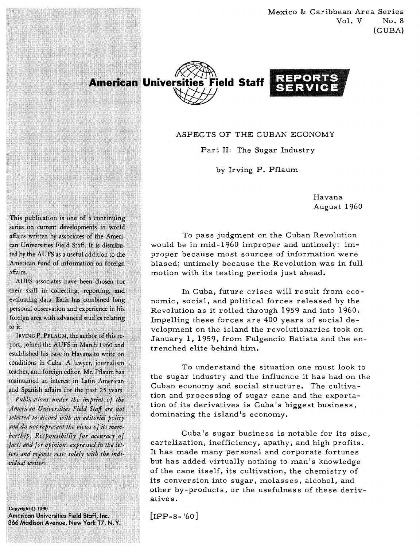Mexico & Caribbean Area Series  $Vol. V$  No. 8 (CUBA)





## ASPECTS OF THE CUBAN ECONOMY

Part 11: The Sugar Industry

by Irving P. Pflaum

Havana August 1960

To pass judgment on the Cuban Revolution would be in mid- 1960 improper and untimely: improper because most sources of information were biased; untimely because the Revolution was in full motion with its testing periods just ahead.

In Cuba, future crises will result from economic, social, and political forces released by the Revolution as it rolled through 1959 and into 1960, Impelling these forces are 400 years of social development on the island the revolutionaries took on January 1, 1959, from Fulgencio Batista and the entrenched elite behind him.

To understand the situation one must look to the sugar industry and the influence it has had on the Cuban economy and social structure. The cultivation and processing of sugar cane and the exportation of its derivatives is Cuba's biggest business, dominating the island's economy.

Cuba's sugar business is notable for its size, cartelization, inefficiency, apathy, and high profits. It has made many personal and corporate fortunes but has added virtually nothing to man's knowledge of the cane itself, its cultivation, the chemistry of its conversion into sugar, molasses, alcohol, and other by-products, or the usefulness of these derivative s ,

 $[IPP-8-160]$ 

This publication is one of a continuing series on current developments in world affairs written by associates of the American Universities Field Staff. It is distributed by the AUFS as a useful addition to the American fund of information on foreign  $a<sup>2</sup>$ 

**TAR MARKET SERIES SERIES** 

an in 1860 i **The Market Communist Communist Communist Communist Communist Communist Communist Communist Communist Communist NEW YORK WAS ARRESTED NESERIA REGION** 6223431240

**AND THE REAL PROPERTY OF A REAL PROPERTY** 

AUFS associates have been chosen for their skill in collecting, reporting, and evaluating data. Each has combined long personal observation and experience in his foreign area with advanced studies relating to it.

IRVING P. PFLAUM, the author of this report, joined the AUFS in March 1960 and established his base in Havana to write on conditions in Cuba. A lawyer, journalism teacher, and foreign editor, Mr. Pflaum has maintained an interest in Latin American and Spanish affairs for the past 25 years.

Publications under the imprint of the American Universities Field Staff are not selected to accord with an editorial policy and do not represent the views of its membership. Responsibility for accuracy of facts and for opinions expressed in the letters and reports rests solely with the individual writers.

Copyright © 1960 American Universities Field Staff, Inc. 366 Madison Avenue, New York 17, N.Y.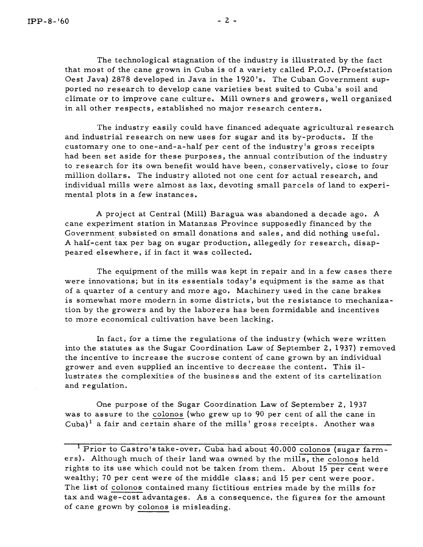The technological stagnation of the industry is illustrated by the fact that most of the cane grown in Cuba is of a variety called P.O.J. (Proefstation Oest Java) 2878 developed in Java in the 1920's. The Cuban Government supported no research to develop cane varieties best suited to Cuba's soil and climate or to improve cane culture. Mill owners and growers, well organized in all other respects, established no major research centers.

The industry easily could have financed adequate agricultural research and industrial research on new uses for sugar and its by-products. If the customary one to one-and-a-half per cent of the industry's gross receipts had been set aside for these purposes, the annual contribution of the industry to research for its own benefit would have been, conservatively, close to four million dollars. The industry alloted not one cent for actual research, and individual mills were almost as lax, devoting small parcels of land to experimental plots in a few instances.

A project at Central (Mill) Baragua was abandoned a decade ago. **A**  cane experiment station in Matanzas Province supposedly financed by the Government subsisted on small donations and sales, and did nothing useful. A half-cent tax per bag on sugar production, allegedly for research, disappeared elsewhere, if in fact it was collected.

The equipment of the mills was kept in repair and in a few cases there were innovations; but in its essentials today's equipment is the same as that of a quarter of a century and more ago. Machinery used in the cane brakes is somewhat more modern in some districts, but the resistance to mechanization by the growers and by the laborers has been formidable and incentives to more economical cultivation have been lacking.

In fact, for a time the regulations of the industry (which were written into the statutes as the Sugar Coordination Law of September 2, 1937) removed the incentive to increase the sucrose content of cane grown by an individual grower and even supplied an incentive to decrease the content. This illustrates the complexities of the business and the extent of its cartelization and regulation.

One purpose of the Sugar Coordination Law of September 2, 1937 was to assure to the colonos (who grew up to 90 per cent of all the cane in  $Cuba)^{1}$  a fair and certain share of the mills' gross receipts. Another was

Prior to Castro's take-over, Cuba had about 40,000 colonos (sugar farmers). Although much of their land was owned by the mills, the colonos held rights to its use which could not be taken from them. About 15 per cent were wealthy; 70 per cent were of the middle class; and 15 per cent were poor. The list of colonos contained many fictitious entries made by the mills for tax and wage-cost advantages. As a consequence, the figures for the amount of cane grown by colonos is misleading.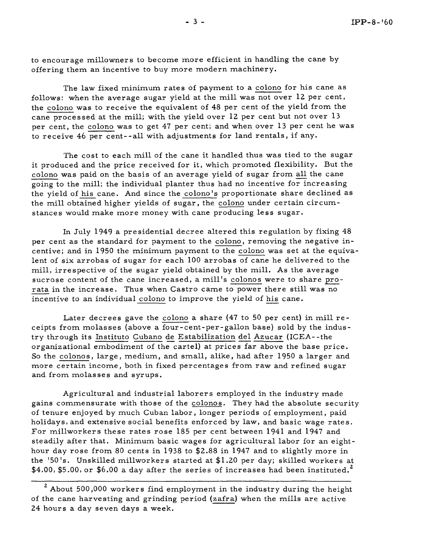to encourage millowners to become more efficient in handling the cane by offering them an incentive to buy more modern machinery.

The law fixed minimum rates of payment to a colono for his cane as follows: when the average sugar yield at the mill was not over 12 per cent, the colono was to receive the equivalent of 48 per cent of the yield from the cane processed at the mill; with the yield over 12 per cent but not over 13 per cent, the colono was to get 47 per cent; and when over 13 per cent he was to receive 46 per cent--all with adjustments for land rentals, if any.

The cost to each mill of the cane it handled thus was tied to the sugar it produced and the price received for it, which promoted flexibility. But the The cost to each mill of the cane it handled thus was tied to the sugar<br>it produced and the price received for it, which promoted flexibility. But the<br>colono was paid on the basis of an average yield of sugar from all the going to the mill; the individual planter thus had no incentive for increasing the yield of his cane. And since the colono's proportionate share declined as the mill obtained higher yields of sugar, the colono under certain circumstances would make more money with cane producing less sugar.

In July 1949 a presidential decree altered this regulation by fixing 48 per cent as the standard for payment to the colono, removing the negative incentive; and in 1950 the minimum payment to the colono was set at the equivalent of six arrobas of sugar for each 100 arrobas of cane he delivered to the mill, irrespective of the sugar yield obtained by the mill. As the average per cent as the standard for payment to the <u>colono</u>, removing the negative in-<br>centive; and in 1950 the minimum payment to the colono was set at the equiva-<br>lent of six arrobas of sugar for each 100 arrobas of cane he del rata in the increase. Thus when Castro came to power there still was no mill, irrespective of the sugar yield obtained by the mill. As the sucrose content of the cane increased, a mill's colonos were to she rata in the increase. Thus when Castro came to power there still incentive to an indivi

Later decrees gave the colono a share (47 to 50 per cent) in mill receipts from molasses (above a four -cent-per -gallon base) sold by the indus-Later decrees gave the colono a share (47 to 50 per cent) in mill<br>ceipts from molasses (above a four-cent-per-gallon base) sold by the ind<br>try through its <u>Instituto Cubano de Estabilization del Azucar</u> (ICEA--the<br>preaniza organizational embodiment of the cartel) at prices far above the base price. So the colonos, large, medium, and small, alike, had after 1950 a larger and more certain income, both in fixed percentages from raw and refined sugar and from molasses and syrups.

Agricultural and industrial laborers employed in the industry made gains commensurate with those of the colonos. They had the absolute security of tenure enjoyed by much Cuban labor, longer periods of employment, paid holidays, and extensive social benefits enforced by law, and basic wage rates. For millworkers these rates rose 185 per cent between 1941 and 1947 and steadily after that. Minimum basic wages for agricultural labor for an eighthour day rose from 80 cents in 1938 to \$2.88 in 1947 and to slightly more in the '50's. Unskilled millworkers started at \$1.20 per day; skilled workers at \$4.00, \$5.00, or \$6.00 a day after the series of increases had been instituted.<sup>2</sup>

<sup>&</sup>lt;sup>2</sup> About 500,000 workers find employment in the industry during the height of the cane harvesting and grinding period (zafra) when the mills are active 24 hours a day seven days a week.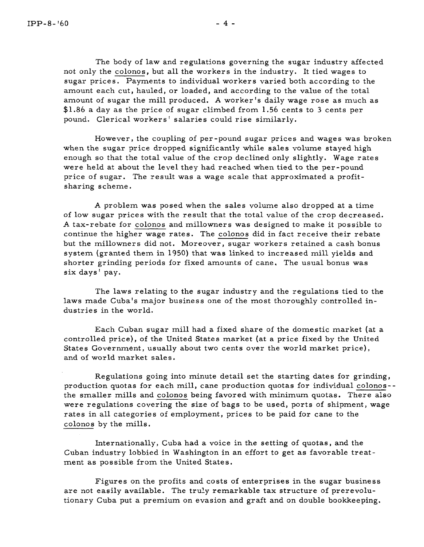The body of law and regulations governing the sugar industry affected not only the colonos, but all the workers in the industry. It tied wages to sugar prices. Payments to individual workers varied both according to the amount each cut, hauled, or loaded, and according to the value of the total amount of sugar the mill produced. **A** worker's daily wage rose as much as \$1.86 a day as the price of sugar climbed from 1.56 cents to **3** cents per pound. Clerical workers' salaries could rise similarly.

However, the coupling of per-pound sugar prices and wages was broken when the sugar price dropped significantly while sales volume stayed high enough so that the total value of the crop declined only slightly. Wage rates were held at about the level they had reached when tied to the per-pound price of sugar. The result was a wage scale that approximated a profitsharing scheme .

**A** problem was posed when the sales volume also dropped at a time of low sugar prices with the result that the total value of the crop decreased. **A** tax-rebate for colonos and millowners was designed to make it possible to continue the higher wage rates. The colonos did in fact receive their rebate but the millowners did not. Moreover, sugar workers retained a cash bonus system (granted them in 1950) that was linked to increased mill yields and shorter grinding periods for fixed amounts of cane, The usual bonus was six days ' pay.

The laws relating to the sugar industry and the regulations tied to the laws made Cuba's major business one of the most thoroughly controlled industries in the world.

Each Cuban sugar mill had a fixed share of the domestic market (at a controlled price), of the United States market (at a price fixed by the United States Government, usually about two cents over the world market price), and of world market sales .

Regulations going into minute detail set the starting dates for grinding, production quotas for each mill, cane production quotas for individual colonosthe smaller mills and colonos being favored with minimum quotas. There also were regulations covering the size of bags to be used, ports of shipment, wage rates in all categories of employment, prices to be paid for cane to the colonos by the mills.

Internationally, Cuba had a voice in the setting of quotas, and the Cuban industry lobbied in Washington in an effort to get as favorable treatment as possible from the United States.

Figures on the profits and costs of enterprises in the sugar business are not easily available. The truly remarkable tax structure of prerevolutionary Cuba put a premium on evasion and graft and on double bookkeeping.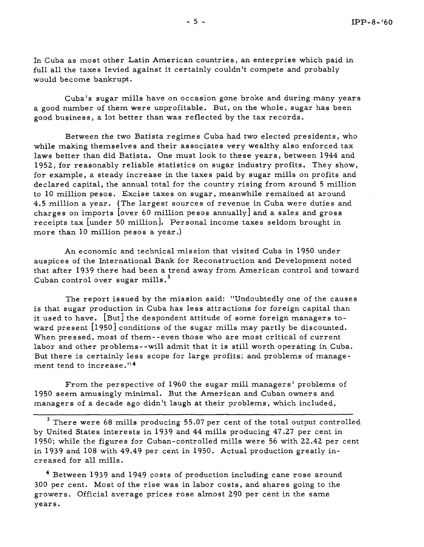In Cuba as most other Latin American countries, an enterprise which paid in full all the taxes levied against it certainly couldn't compete and probably would become bankrupt.

Cuba's sugar mills have on occasion gone broke and during many years a good number of them were unprofitable. But, on the whole, sugar has been good business, a lot better than was reflected by the tax records.

Between the two Batista regimes Cuba had two elected presidents, who while making themselves and their associates very wealthy also enforced tax laws better than did Batista. One must look to these years, between 1944 and 1952, for reasonably reliable statistics on sugar industry profits. They show, for example, a steady increase in the taxes paid by sugar mills on profits and declared capital, the annual total for the country rising from around 5 million to 10 million pesos. Excise taxes on sugar, meanwhile remained at around 4.5 million a year. (The largest sources of revenue in Cuba were duties and charges on imports [over 60 million pesos annually] and a sales and gross receipts tax [under 50 million]. Personal income taxes seldom brought in more than 10 million pesos a year .)

An economic and technical mission that visited Cuba in 1950 under auspices of the International Bank for Reconstruction and Development noted that after 1939 there had been a trend away from American control and toward **<sup>3</sup>**Cuban control over sugar mills.

The report issued by the mission said: "Undoubtedly one of the causes is that sugar production in Cuba has less attractions for foreign capital than it used to have. [But] the despondent attitude of some foreign managers toward present [1950] conditions of the sugar mills may partly be discounted. When pressed, most of them--even those who are most critical of current labor and other problems--will admit that it is still worth operating in Cuba. But there is certainly less scope for large profits; and problems of management tend to increase **.'I4** 

From the perspective of 1960 the sugar mill managers ' problems of 1950 seem amusingly minimal. But the American and Cuban owners and managers of a decade ago didn't laugh at their problems, which included,

<sup>3</sup> There were 68 mills producing 55.07 per cent of the total output controlled by United States interests in 1939 and 44 mills producing 47.27 per cent in 1950; while the figures for Cuban-controlled mills were 56 with 22.42 per cent in 1939 and 108 with 49.49 per cent in 1950. Actual production greatly increased for all mills.

<sup>4</sup> Between 1939 and 1949 costs of production including cane rose around 300 per cent. Most of the rise was in labor costs, and shares going to the growers. Official average prices rose almost 290 per cent in the same years.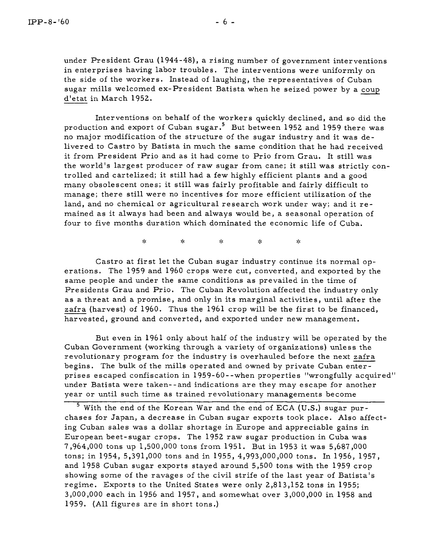under President Grau (1944-48), a rising number of government interventions in enterprises having labor troubles. The interventions were uniformly on the side of the workers. Instead of laughing, the representatives of Cuban sugar mills welcomed ex-President Batista when he seized power by a coup d'etat in March 1952.

Interventions on behalf of the workers quickly declined, and so did the production and export of Cuban sugar.<sup>5</sup> But between 1952 and 1959 there was no major modification of the structure of the sugar industry and it was delivered to Castro by Batista in much the same condition that he had received it from President Prio and as it had come to Prio from Grau. It still was the world's largest producer of raw sugar from cane; it still was strictly controlled and cartelized; it still had a few highly efficient plants and a good many obsolescent ones; it still was fairly profitable and fairly difficult to manage; there still were no incentives for more efficient utilization of the land, and no chemical or agricultural research work under way; and it remained as it always had been and always would be, a seasonal operation of four to five months duration which dominated the economic life of Cuba.

> $\mathbf{S}^{\text{L}}_{\text{K}}$  $\mathcal{A}_{\mathcal{C}}$  $\mathbf{g}_\mathbf{g}$  $\mathbf{r}$ yk.

Castro at first let the Cuban sugar industry continue its normal operations. The 1959 and 1960 crops were cut, converted, and exported by the same people and under the same conditions as prevailed in the time of Presidents Grau and Prio. The Cuban Revolution affected the industry only as a threat and a promise, and only in its marginal activities, until after the zafra (harvest) of 1960. Thus the 1961 crop will be the first to be financed, harvested, ground and converted, and exported under new management.

But even in 1961 only about half of the industry will be operated by the Cuban Cover nment (working through a variety of organizations) unless the revolutionary program for the industry is overhauled before the next zafra begins. The bulk of the mills operated and owned by private Cuban enterprises escaped confiscation in 1959-60 - -when properties "wrongfully acquired" under Batista were taken--and indications are they may escape for another year or until such time as trained revolutionary managements become

 $5$  With the end of the Korean War and the end of ECA (U.S.) sugar purchases for Japan, a decrease in Cuban sugar exports took place. Also affecting Cuban sales was a dollar shortage in Europe and appreciable gains in European beet- sugar crops. The 1952 raw sugar production in Cuba was 7,964,000 tons up 1,500,000 tons from 1951. But in 1953 it was 5,687,000 tons; in 1954, 5,391,000 tons and in 1955, 4,993,000,000 tons. In 1956, 1957, and 1958 Cuban sugar exports stayed around 5,500 tons with the 1959 crop showing some of the ravages of the civil strife of the last year of Batista's regime. Exports to the United States were only 2,813,152 tons in 1955; 3,000,000 each in 1956 and 1957, and somewhat over 3,000,000 in 1958 and 1959, (All figures are in short tons.)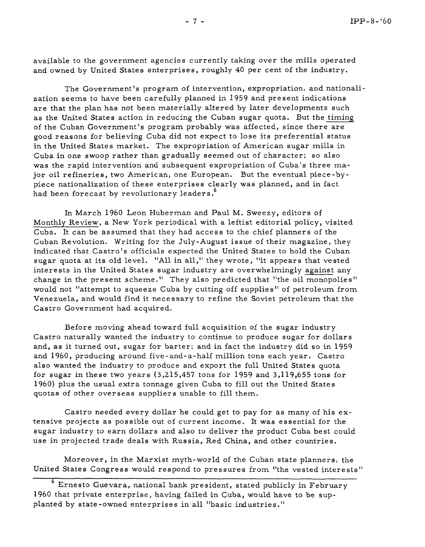available to the government agencies currently taking over the mills operated and owned by United States enterprises, roughly 40 per cent of the industry.

The Government's program of intervention, expropriation, and nationalization seems to have been carefully planned in 1959 and present indications are that the plan has not been materially altered by later developments such as the United States action in reducing the Cuban sugar quota. But the timing of the Cuban Government's program probably was affected, since there are good reasons for believing Cuba did not expect to lose its preferential status in the United States market. The expropriation of American sugar mills in Cuba in one swoop rather than gradually seemed out of character; so also was the rapid intervention and subsequent expropriation of Cuba's three major oil refineries, two American, one European. But the eventual piece-bypiece nationalization of these enterprises clearly was planned, and in fact had been forecast by revolutionary leaders. **<sup>6</sup>**

In March 1960 Leon Huberman and Paul M. Sweezy, editors of Monthly Review, a New York periodical with a leftist editorial policy, visited Cuba. It can be assumed that they had access to the chief planners of the Cuban Revolution. Writing for the July-August issue of their magazine, they indicated that Castro's officials expected the United States to hold the Cuban sugar quota at its old level. "All in all," they wrote, "it appears that vested interests in the United States sugar industry are overwhelmingly against any change in the present scheme." They also predicted that "the oil monopolies" would not "attempt to squeeze Cuba by cutting off supplies" of petroleum from Venezuela, and would find it necessary to refine the Soviet petroleum that the Castro Government had acquired.

Before moving ahead toward full acquisition of the sugar industry Castro naturally wanted the industry to continue to produce sugar for dollars and, as it turned out, sugar for barter; and in fact the industry did so in 1959 and 1960, producing around five-and-a-half million tons each year. Castro also wanted the industry to produce and export the full United States quota for sugar in these two years (3,215,457 tons for 1959 and 3,119,655 tons for 1960) plus the usual extra tonnage given Cuba to fill out the United States quotas of other overseas suppliers unable to fill them.

Castro needed every dollar he could get to pay for as many of his extensive projects as possible out of current income. It was essential for the sugar industry to earn dollars and also to deliver the product Cuba best could use in projected trade deals with Russia, Red China, and other countries.

Moreover, in the Marxist myth-world of the Cuban state planners, the United States Congress would respond to pressures from "the vested interests''

<sup>6</sup> Ernesto Guevara, national bank president, stated publicly in February 1960 that private enterprise, having failed in Cuba, would have to be supplanted by state-owned enterprises in all "basic industries."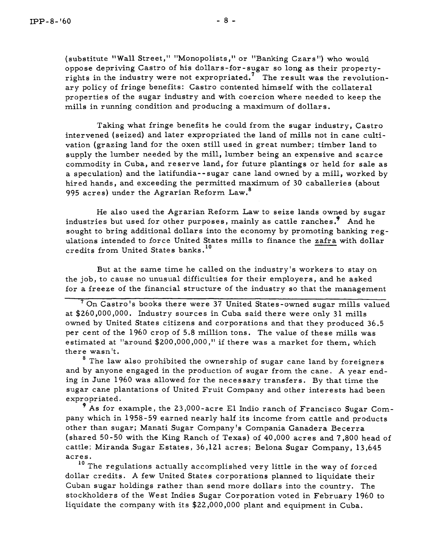(substitute "Wall Street," "Monopolists," or "Banking Czars") who would oppose depriving Castro of his dollars-for-sugar so long as their propertyrights in the industry were not expropriated.<sup>7</sup> The result was the revolutionary policy of fringe benefits: Castro contented himself with the collateral properties of the sugar industry and with coercion where needed to keep the mills in running condition and producing a maximum of dollars.

Taking what fringe benefits he could from the sugar industry, Castro intervened (seized) and later expropriated the land of mills not in cane cultivation (grazing land for the oxen still used in great number; timber land to supply the lumber needed by the mill, lumber being an expensive and scarce commodity in Cuba, and reserve land, for future plantings or held for sale as a speculation) and the latifundia- - sugar cane land owned by a mill, worked by hired hands, and exceeding the permitted maximum of 30 caballeries (about 995 acres) under the Agrarian Reform Law. **<sup>8</sup>**

He also used the Agrarian Reform Law to seize lands owned by sugar industries but used for other purposes, mainly as cattle ranches **.9** And he sought to bring additional dollars into the economy by promoting banking regulations intended to force United States mills to finance the zafra with dollar credits from United States banks. **<sup>10</sup>**

But at the same time he called on the industry's workers 'to stay on the job, to cause no unusual difficulties for their employers, and he asked for a freeze of the financial structure of the industry so that the management

On Castro's books there were **37** United States-owned sugar mills valued at \$260,000,000. Industry sources in Cuba said there were only 31 mills owned by United States citizens and corporations and that they produced 36.5 per cent of the 1960 crop of 5.8 million tons. The value of these mills was estimated at "around \$200,000,000 ," if there was a market for them, which there wasn't.

<sup>8</sup> The law also prohibited the ownership of sugar cane land by foreigners and by anyone engaged in the production of sugar from the cane. A year ending in June 1960 was allowed for the necessary transfer s. By that time the sugar cane plantations of United Fruit Company and other interests had been expropriated.

 $9$  As for example, the 23,000-acre El Indio ranch of Francisco Sugar Company which in 1958-59 earned nearly half its income from cattle and products other than sugar; Manati Sugar Company's Compania Ganadera Becerra (shared 50-50 with the King Ranch of Texas) of 40,000 acres and 7,800 head of cattle; Miranda Sugar Estates, 36,121 acres; Belona Sugar Company, 13,645 acres.

**<sup>10</sup>**The regulations actually accomplished very little in the way of forced dollar credits. A few United States corporations planned to liquidate their - Cuban sugar holdings rather than send more dollars into the country. The stockholders of the West Indies Sugar Corporation voted in February 1960 to liquidate the company with its \$22,000,000 plant and equipment in Cuba.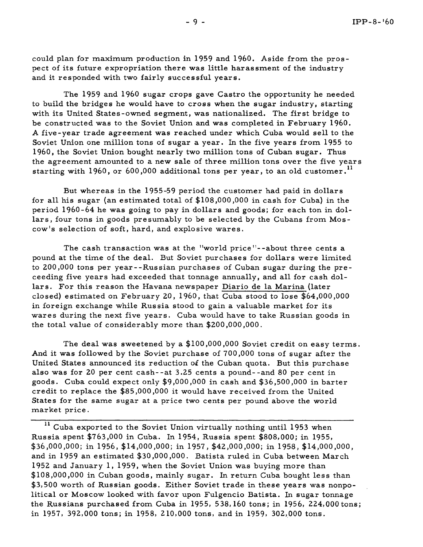could plan for maximum production in 1959 and 1960. Aside from the pros pect of its future expropriation there was little harassment of the industry and it responded with two fairly successful years.

The 1959 and 1960 sugar crops gave Castro the opportunity he needed to build the bridges he would have to cross when the sugar industry, starting with its United States-owned segment, was nationalized. The first bridge to be constructed was to the Soviet Union and was completed in February 1960. **A** five-year trade agreement was reached under which Cuba would sell to the Soviet Union one million tons of sugar a year. In the five years from 1955 to 1960, the Soviet Union bought nearly two million tons of Cuban sugar. Thus the agreement amounted to a new sale of three million tons over the five years starting with 1960, or 600,000 additional tons per year, to an old customer. **<sup>11</sup>**

But whereas in the 1955-59 period the customer had paid in dollars for all his sugar (an estimated total of \$lO8,000,OOO in cash for Cuba) in the period 1960-64 he was going to pay in dollars and goods; for each ton in dollars, four tons in goods presumably to be selected by the Cubans from Moscow's selection of soft, hard, and explosive wares.

The cash transaction was at the "world price"--about three cents a pound at the time of the deal. But Soviet purchases for dollars were limited to 200,000 tons per year - -Russian purchases of Cuban sugar during the preceeding five years had exceeded that tonnage annually, and all for cash dollars. For this reason the Havana newspaper Diario de la Marina (later closed) estimated on February 20, 1960, that Cuba stood to lose \$64,000,000 in foreign exchange while Russia stood to gain a valuable market for its wares during the next five years. Cuba would have to take Russian goods in the total value of considerably more than \$200,000,000.

The deal was sweetened by a \$100,000,000 Soviet credit on easy terms. And it was followed by the Soviet purchase of 700,000 tons of sugar after the United States announced its reduction of the Cuban quota. But this purchase also was for 20 per cent cash--at 3.25 cents a pound--and 80 per cent in goods. Cuba could expect only \$9,000,000 in cash and \$36,500,000 in barter credit to replace the \$85,000,000 it would have received from the United States for the same sugar at a price two cents per pound above the world market price.

**<sup>11</sup>**Cuba exported to the Soviet Union virtually nothing until 1953 when Russia spent \$763,000 in Cuba. In 1954, Russia spent \$808,000; in 1955, \$36,000,000; in 1956, \$14,000,000; in 1957, \$42,OOO,OOO; in 1958, \$l4,OOO,OOO, and in 1959 an estimated \$30,000,000. Batista ruled in Cuba between March 1952 and January 1, 1959, when the Soviet Union was buying more than \$lO8,000,000 in Cuban goods, mainly sugar. In return Cuba bought less than \$3,500 worth of Russian goods. Either Soviet trade in these years was nonpolitical or Moscow looked with favor upon Fulgencio Batista. In sugar tonnage the Russians purchased from Cuba in 1955, 538,160 tons; in 1956, 224,000 tons; in 1957, 392,000 tons; in 1958, 210,000 tons, and in 1959, 302,000 tons.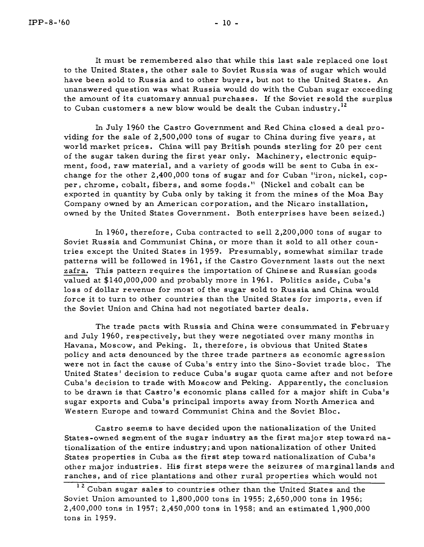It must be remembered also that while this last sale replaced one lost to the United States, the other sale to Soviet Russia was of sugar which would have been sold to Russia and to other buyers, but not to the United States. An unanswered question was what Russia would do with the Cuban sugar exceeding the amount of its customary annual purchases. If the Soviet resold the surplus to Cuban customers a new blow would be dealt the Cuban industry. **<sup>12</sup>**

In July 1960 the Castro Government and Red China closed a deal providing for the sale of 2,500,000 tons of sugar to China during five years, at world market prices. China will pay British pounds sterling for 20 per cent of the sugar taken during the first year only. Machinery, electronic equipment, food, raw material, and a variety of goods will be sent to Cuba in exchange for the other 2,400,000 tons of sugar and for Cuban "iron, nickel, copper, chrome, cobalt, fibers, and some foods ." (Nickel and cobalt can be exported in quantity by Cuba only by taking it from the mines of the Moa Bay Company owned by an American corporation, and the Nicaro installation, owned by the United States Government. Both enterprises have been seized.)

In 1960, therefore, Cuba contracted to sell 2,200,000 tons of sugar to Soviet Russia and Communist China, or more than it sold to all other countries except the United States in 1959. Presumably, somewhat similar trade patterns will be followed in 1961, if the Castro Government lasts out the next zafra. This pattern requires the importation of Chinese and Russian goods valued at \$140,000,000 and probably more in 1961. Politics aside, Cuba's loss of dollar revenue for most of the sugar sold to Russia and China would force it to turn to other countries than the United States for imports, even if the Soviet Union and China had not negotiated barter deals.

The trade pacts with Russia and China were consummated in February and July 1960, respectively, but they were negotiated over many months in Havana, Moscow, and Peking. It, therefore, is obvious that United States policy and acts denounced by the three trade partners as economic agre ssion were not in fact the cause of Cuba's entry into the Sino-Soviet trade bloc. The United States' decision to reduce Cuba's sugar quota came after and not before Cuba's decision to trade with Moscow and Peking. Apparently, the conclusion to be drawn is that Castro's economic plans called for a major shift in Cuba's sugar exports and Cuba's principal imports away from North America and Western Europe and toward Communist China and the Soviet Bloc.

Castro seems to have decided upon the nationalization of the United States-owned segment of the sugar industry as the first major step toward nationalization of the entire industry; and upon nationalization of other United States properties in Cuba as the first step toward nationalization of Cuba's other major industries. His first steps were the seizures of marginal lands and ranches, and of rice plantations and other rural properties which would not

<sup>&</sup>lt;sup>12</sup> Cuban sugar sales to countries other than the United States and the Soviet Union amounted to 1,800,000 tons in 1955; 2,650,000 tons in 1956; 2,400,000 tons in 1957; 2,450,000 tons in 1958; and an estimated 1,900,000 tons in 1959.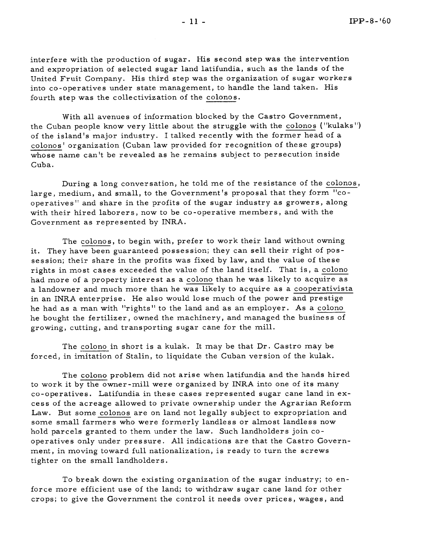interfere with the production of sugar. His second step was the intervention and expropriation of selected sugar land latifundia, such as the lands of the United Fruit Company. His third step was the organization of sugar workers into co-operatives under state management, to handle the land taken. His fourth step was the collectivization of the colonos.

With all avenues of information blocked by the Castro Government, the Cuban people know very little about the struggle with the colonos ("kulaks") of the island's major industry. I talked recently with the former head of a colonos' organization (Cuban law provided for recognition of these groups) whose name can't be revealed as he remains subject to persecution inside Cuba.

During a long conversation, he told me of the resistance of the colonos, large, medium, and small, to the Government's proposal that they form "cooperatives" and share in the profits of the sugar industry as growers, along with their hired laborers, now to be co-operative members, and with the Government as represented by INRA.

The colonos, to begin with, prefer to work their land without owning it. They have been guaranteed possession; they can sell their right of possession; their share in the profits was fixed by law, and the value of these rights in most cases exceeded the value of the land itself. That is, a colono had more of a property interest as a colono than he was likely to acquire as a landowner and much more than he was likely to acquire as a cooperativista in an INRA enterprise. He also would lose much of the power and prestige he had as a man with "rights" to the land and as an employer. As a colono he bought the fertilizer, owned the machinery, and managed the business of growing, cutting, and transporting sugar cane for the mill.

The colono in short is a kulak. It may be that Dr. Castro may be forced, in imitation of Stalin, to liquidate the Cuban version of the kulak.

The colono problem did not arise when latifundia and the hands hired to work it by the owner-mill were organized by INRA into one of its many co-operatives. Latifundia in these cases represented sugar cane land in excess of the acreage allowed to private ownership under the Agrarian Reform Law. But some colonos are on land not legally subject to expropriation and some small farmers who were formerly landless or almost landless now hold parcels granted to them under the law. Such landholders join cooperatives only under pressure. All indications are that the Castro Government, in moving toward full nationalization, is ready to turn the screws tighter on the small landholders.

To break down the existing organization of the sugar industry; to enforce more efficient use of the land; to withdraw sugar cane land for other crops; to give the Government the control it needs over prices, wages, and